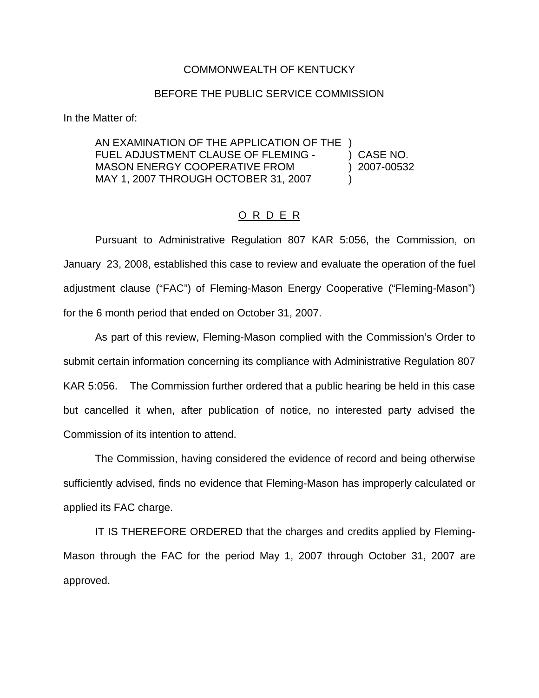## COMMONWEALTH OF KENTUCKY

## BEFORE THE PUBLIC SERVICE COMMISSION

In the Matter of:

AN EXAMINATION OF THE APPLICATION OF THE ) FUEL ADJUSTMENT CLAUSE OF FLEMING - ) CASE NO. MASON ENERGY COOPERATIVE FROM (2007-00532) MAY 1, 2007 THROUGH OCTOBER 31, 2007 (1994)

## O R D E R

Pursuant to Administrative Regulation 807 KAR 5:056, the Commission, on January 23, 2008, established this case to review and evaluate the operation of the fuel adjustment clause ("FAC") of Fleming-Mason Energy Cooperative ("Fleming-Mason") for the 6 month period that ended on October 31, 2007.

As part of this review, Fleming-Mason complied with the Commission's Order to submit certain information concerning its compliance with Administrative Regulation 807 KAR 5:056. The Commission further ordered that a public hearing be held in this case but cancelled it when, after publication of notice, no interested party advised the Commission of its intention to attend.

The Commission, having considered the evidence of record and being otherwise sufficiently advised, finds no evidence that Fleming-Mason has improperly calculated or applied its FAC charge.

IT IS THEREFORE ORDERED that the charges and credits applied by Fleming-Mason through the FAC for the period May 1, 2007 through October 31, 2007 are approved.